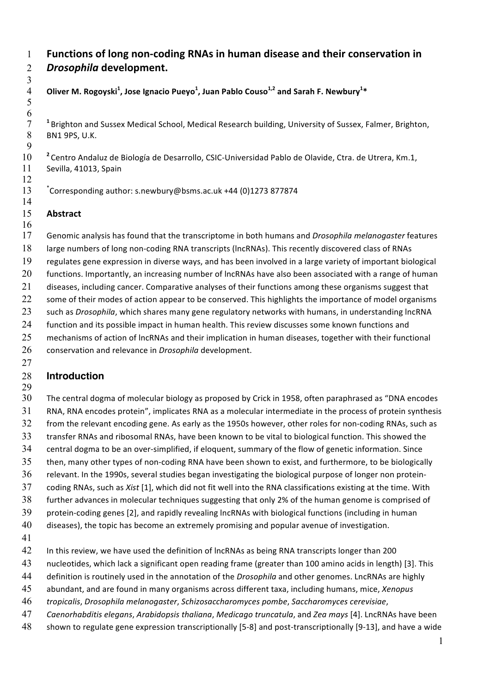# **Functions of long non-coding RNAs in human disease and their conservation in** *Drosophila* **development.**

## Oliver M. Rogoyski $^1$ , Jose Ignacio Pueyo $^1$ , Juan Pablo Couso $^{1,2}$  and Sarah F. Newbury $^{1\ast}$

<sup>1</sup> Brighton and Sussex Medical School, Medical Research building, University of Sussex, Falmer, Brighton, 8 BN1 9PS, U.K. BN1 9PS, U.K.

**<sup>2</sup>** Centro Andaluz de Biología de Desarrollo, CSIC-Universidad Pablo de Olavide, Ctra. de Utrera, Km.1, Sevilla, 41013, Spain 

\* Corresponding author: s.newbury@bsms.ac.uk +44 (0)1273 877874

#### **Abstract**

  $\frac{6}{7}$ 

 Genomic analysis has found that the transcriptome in both humans and *Drosophila melanogaster* features large numbers of long non-coding RNA transcripts (lncRNAs). This recently discovered class of RNAs regulates gene expression in diverse ways, and has been involved in a large variety of important biological 20 functions. Importantly, an increasing number of lncRNAs have also been associated with a range of human 21 diseases, including cancer. Comparative analyses of their functions among these organisms suggest that 22 some of their modes of action appear to be conserved. This highlights the importance of model organisms such as *Drosophila*, which shares many gene regulatory networks with humans, in understanding lncRNA 24 function and its possible impact in human health. This review discusses some known functions and 25 mechanisms of action of lncRNAs and their implication in human diseases, together with their functional conservation and relevance in *Drosophila* development.

#### 

#### **Introduction**

 The central dogma of molecular biology as proposed by Crick in 1958, often paraphrased as "DNA encodes RNA, RNA encodes protein", implicates RNA as a molecular intermediate in the process of protein synthesis 32 from the relevant encoding gene. As early as the 1950s however, other roles for non-coding RNAs, such as transfer RNAs and ribosomal RNAs, have been known to be vital to biological function. This showed the central dogma to be an over-simplified, if eloquent, summary of the flow of genetic information. Since then, many other types of non-coding RNA have been shown to exist, and furthermore, to be biologically relevant. In the 1990s, several studies began investigating the biological purpose of longer non protein- coding RNAs, such as *Xist* [1], which did not fit well into the RNA classifications existing at the time. With further advances in molecular techniques suggesting that only 2% of the human genome is comprised of protein-coding genes [2], and rapidly revealing lncRNAs with biological functions (including in human diseases), the topic has become an extremely promising and popular avenue of investigation.

- 
- 42 In this review, we have used the definition of lncRNAs as being RNA transcripts longer than 200
- nucleotides, which lack a significant open reading frame (greater than 100 amino acids in length) [3]. This
- definition is routinely used in the annotation of the *Drosophila* and other genomes. LncRNAs are highly
- abundant, and are found in many organisms across different taxa, including humans, mice, *Xenopus*
- *tropicalis*, *Drosophila melanogaster*, *Schizosaccharomyces pombe*, *Saccharomyces cerevisiae*,
- *Caenorhabditis elegans*, *Arabidopsis thaliana*, *Medicago truncatula*, and *Zea mays* [4]. LncRNAs have been
- shown to regulate gene expression transcriptionally [5-8] and post-transcriptionally [9-13], and have a wide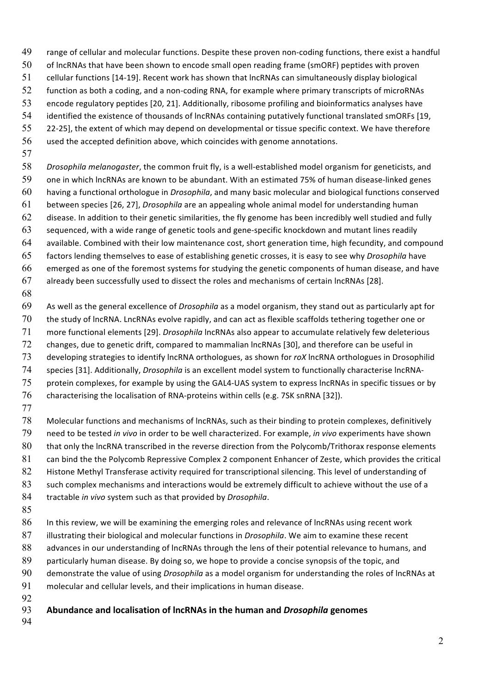- range of cellular and molecular functions. Despite these proven non-coding functions, there exist a handful of lncRNAs that have been shown to encode small open reading frame (smORF) peptides with proven cellular functions [14-19]. Recent work has shown that lncRNAs can simultaneously display biological function as both a coding, and a non-coding RNA, for example where primary transcripts of microRNAs encode regulatory peptides [20, 21]. Additionally, ribosome profiling and bioinformatics analyses have identified the existence of thousands of lncRNAs containing putatively functional translated smORFs [19, 22-25], the extent of which may depend on developmental or tissue specific context. We have therefore used the accepted definition above, which coincides with genome annotations.
- *Drosophila melanogaster*, the common fruit fly, is a well-established model organism for geneticists, and one in which lncRNAs are known to be abundant. With an estimated 75% of human disease-linked genes having a functional orthologue in *Drosophila*, and many basic molecular and biological functions conserved between species [26, 27], *Drosophila* are an appealing whole animal model for understanding human disease. In addition to their genetic similarities, the fly genome has been incredibly well studied and fully sequenced, with a wide range of genetic tools and gene-specific knockdown and mutant lines readily available. Combined with their low maintenance cost, short generation time, high fecundity, and compound factors lending themselves to ease of establishing genetic crosses, it is easy to see why *Drosophila* have emerged as one of the foremost systems for studying the genetic components of human disease, and have already been successfully used to dissect the roles and mechanisms of certain lncRNAs [28].
- 

 As well as the general excellence of *Drosophila* as a model organism, they stand out as particularly apt for the study of lncRNA. LncRNAs evolve rapidly, and can act as flexible scaffolds tethering together one or more functional elements [29]. *Drosophila* lncRNAs also appear to accumulate relatively few deleterious changes, due to genetic drift, compared to mammalian lncRNAs [30], and therefore can be useful in developing strategies to identify lncRNA orthologues, as shown for *roX* lncRNA orthologues in Drosophilid species [31]. Additionally, *Drosophila* is an excellent model system to functionally characterise lncRNA- protein complexes, for example by using the GAL4-UAS system to express lncRNAs in specific tissues or by characterising the localisation of RNA-proteins within cells (e.g. 7SK snRNA [32]).

 Molecular functions and mechanisms of lncRNAs, such as their binding to protein complexes, definitively need to be tested *in vivo* in order to be well characterized. For example, *in vivo* experiments have shown 80 that only the lncRNA transcribed in the reverse direction from the Polycomb/Trithorax response elements 81 can bind the the Polycomb Repressive Complex 2 component Enhancer of Zeste, which provides the critical 82 Histone Methyl Transferase activity required for transcriptional silencing. This level of understanding of 83 such complex mechanisms and interactions would be extremely difficult to achieve without the use of a tractable *in vivo* system such as that provided by *Drosophila*.

 In this review, we will be examining the emerging roles and relevance of lncRNAs using recent work illustrating their biological and molecular functions in *Drosophila*. We aim to examine these recent 88 advances in our understanding of lncRNAs through the lens of their potential relevance to humans, and 89 particularly human disease. By doing so, we hope to provide a concise synopsis of the topic, and demonstrate the value of using *Drosophila* as a model organism for understanding the roles of lncRNAs at molecular and cellular levels, and their implications in human disease. 

- **Abundance and localisation of lncRNAs in the human and** *Drosophila* **genomes**
-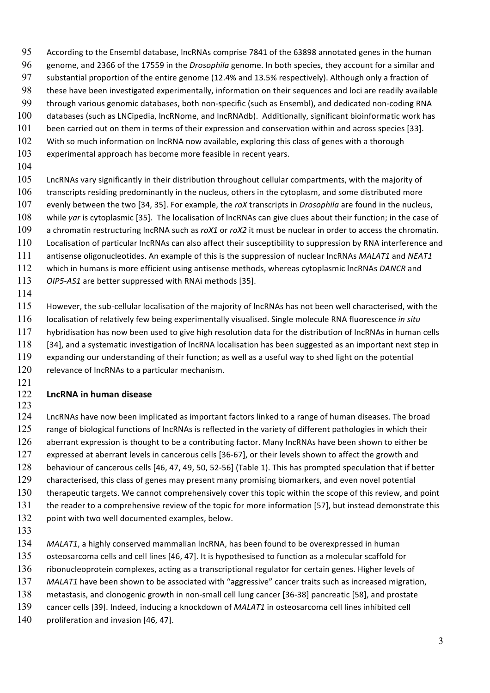- According to the Ensembl database, lncRNAs comprise 7841 of the 63898 annotated genes in the human
- genome, and 2366 of the 17559 in the *Drosophila* genome. In both species, they account for a similar and
- substantial proportion of the entire genome (12.4% and 13.5% respectively). Although only a fraction of
- these have been investigated experimentally, information on their sequences and loci are readily available
- through various genomic databases, both non-specific (such as Ensembl), and dedicated non-coding RNA
- 100 databases (such as LNCipedia, lncRNome, and lncRNAdb). Additionally, significant bioinformatic work has
- been carried out on them in terms of their expression and conservation within and across species [33].
- 102 With so much information on lncRNA now available, exploring this class of genes with a thorough
- experimental approach has become more feasible in recent years.
- 
- LncRNAs vary significantly in their distribution throughout cellular compartments, with the majority of 106 transcripts residing predominantly in the nucleus, others in the cytoplasm, and some distributed more evenly between the two [34, 35]. For example, the *roX* transcripts in *Drosophila* are found in the nucleus, 108 while *yar* is cytoplasmic [35]. The localisation of lncRNAs can give clues about their function; in the case of a chromatin restructuring lncRNA such as *roX1* or *roX2* it must be nuclear in order to access the chromatin. Localisation of particular lncRNAs can also affect their susceptibility to suppression by RNA interference and antisense oligonucleotides. An example of this is the suppression of nuclear lncRNAs *MALAT1* and *NEAT1* which in humans is more efficient using antisense methods, whereas cytoplasmic lncRNAs *DANCR* and *OIP5-AS1* are better suppressed with RNAi methods [35].
- 

 However, the sub-cellular localisation of the majority of lncRNAs has not been well characterised, with the localisation of relatively few being experimentally visualised. Single molecule RNA fluorescence *in situ* 117 hybridisation has now been used to give high resolution data for the distribution of lncRNAs in human cells 118 [34], and a systematic investigation of lncRNA localisation has been suggested as an important next step in expanding our understanding of their function; as well as a useful way to shed light on the potential

- 120 relevance of lncRNAs to a particular mechanism.
- 

### **LncRNA in human disease**

- LncRNAs have now been implicated as important factors linked to a range of human diseases. The broad 125 range of biological functions of lncRNAs is reflected in the variety of different pathologies in which their 126 aberrant expression is thought to be a contributing factor. Many lncRNAs have been shown to either be expressed at aberrant levels in cancerous cells [36-67], or their levels shown to affect the growth and behaviour of cancerous cells [46, 47, 49, 50, 52-56] (Table 1). This has prompted speculation that if better characterised, this class of genes may present many promising biomarkers, and even novel potential 130 therapeutic targets. We cannot comprehensively cover this topic within the scope of this review, and point 131 the reader to a comprehensive review of the topic for more information [57], but instead demonstrate this 132 point with two well documented examples, below.
- 
- *MALAT1*, a highly conserved mammalian lncRNA, has been found to be overexpressed in human
- osteosarcoma cells and cell lines [46, 47]. It is hypothesised to function as a molecular scaffold for
- ribonucleoprotein complexes, acting as a transcriptional regulator for certain genes. Higher levels of
- *MALAT1* have been shown to be associated with "aggressive" cancer traits such as increased migration,
- metastasis, and clonogenic growth in non-small cell lung cancer [36-38] pancreatic [58], and prostate
- cancer cells [39]. Indeed, inducing a knockdown of *MALAT1* in osteosarcoma cell lines inhibited cell
- 140 proliferation and invasion [46, 47].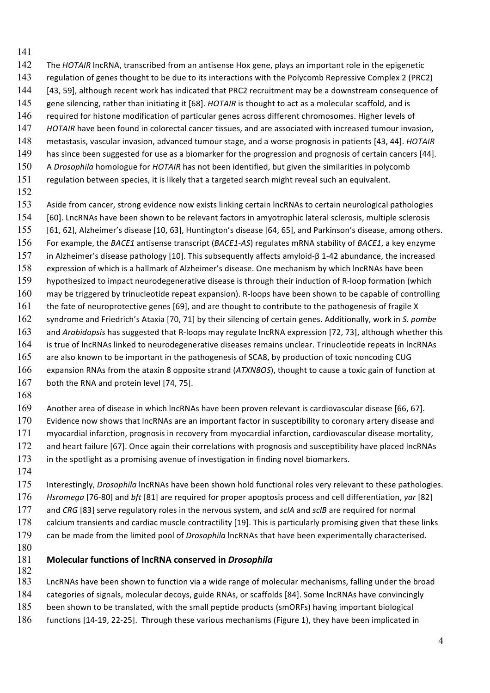- The *HOTAIR* lncRNA, transcribed from an antisense Hox gene, plays an important role in the epigenetic
- regulation of genes thought to be due to its interactions with the Polycomb Repressive Complex 2 (PRC2)
- [43, 59], although recent work has indicated that PRC2 recruitment may be a downstream consequence of
- gene silencing, rather than initiating it [68]. *HOTAIR* is thought to act as a molecular scaffold, and is
- required for histone modification of particular genes across different chromosomes. Higher levels of
- *HOTAIR* have been found in colorectal cancer tissues, and are associated with increased tumour invasion,
- metastasis, vascular invasion, advanced tumour stage, and a worse prognosis in patients [43, 44]. *HOTAIR*
- has since been suggested for use as a biomarker for the progression and prognosis of certain cancers [44]. A *Drosophila* homologue for *HOTAIR* has not been identified, but given the similarities in polycomb
- regulation between species, it is likely that a targeted search might reveal such an equivalent.
- 
- Aside from cancer, strong evidence now exists linking certain lncRNAs to certain neurological pathologies [60]. LncRNAs have been shown to be relevant factors in amyotrophic lateral sclerosis, multiple sclerosis [61, 62], Alzheimer's disease [10, 63], Huntington's disease [64, 65], and Parkinson's disease, among others. For example, the *BACE1* antisense transcript (*BACE1-AS*) regulates mRNA stability of *BACE1*, a key enzyme in Alzheimer's disease pathology [10]. This subsequently affects amyloid-β 1-42 abundance, the increased expression of which is a hallmark of Alzheimer's disease. One mechanism by which lncRNAs have been hypothesized to impact neurodegenerative disease is through their induction of R-loop formation (which may be triggered by trinucleotide repeat expansion). R-loops have been shown to be capable of controlling the fate of neuroprotective genes [69], and are thought to contribute to the pathogenesis of fragile X syndrome and Friedrich's Ataxia [70, 71] by their silencing of certain genes. Additionally, work in *S. pombe* and *Arabidopsis* has suggested that R-loops may regulate lncRNA expression [72, 73], although whether this is true of lncRNAs linked to neurodegenerative diseases remains unclear. Trinucleotide repeats in lncRNAs are also known to be important in the pathogenesis of SCA8, by production of toxic noncoding CUG expansion RNAs from the ataxin 8 opposite strand (*ATXN8OS*), thought to cause a toxic gain of function at 167 both the RNA and protein level [74, 75].
- 

 Another area of disease in which lncRNAs have been proven relevant is cardiovascular disease [66, 67]. 170 Evidence now shows that lncRNAs are an important factor in susceptibility to coronary artery disease and myocardial infarction, prognosis in recovery from myocardial infarction, cardiovascular disease mortality, 172 and heart failure [67]. Once again their correlations with prognosis and susceptibility have placed lncRNAs in the spotlight as a promising avenue of investigation in finding novel biomarkers.

 Interestingly, *Drosophila* lncRNAs have been shown hold functional roles very relevant to these pathologies. *Hsromega* [76-80] and *bft* [81] are required for proper apoptosis process and cell differentiation, *yar* [82] and *CRG* [83] serve regulatory roles in the nervous system, and *sclA* and *sclB* are required for normal 178 calcium transients and cardiac muscle contractility [19]. This is particularly promising given that these links can be made from the limited pool of *Drosophila* lncRNAs that have been experimentally characterised.

## **Molecular functions of lncRNA conserved in** *Drosophila*

 LncRNAs have been shown to function via a wide range of molecular mechanisms, falling under the broad categories of signals, molecular decoys, guide RNAs, or scaffolds [84]. Some lncRNAs have convincingly

- been shown to be translated, with the small peptide products (smORFs) having important biological
- 186 functions [14-19, 22-25]. Through these various mechanisms (Figure 1), they have been implicated in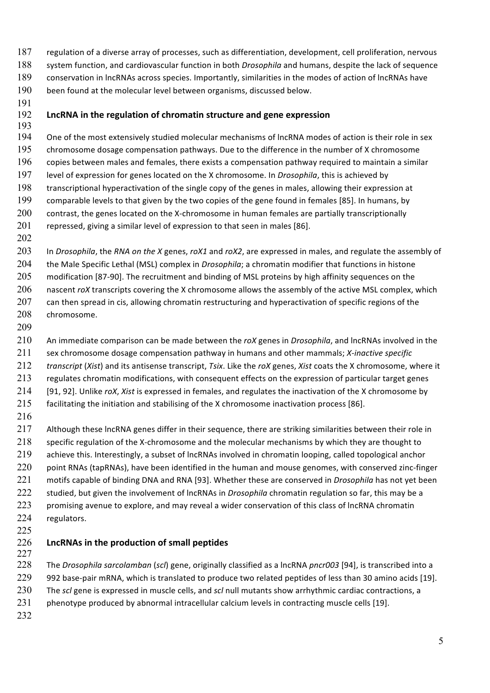- regulation of a diverse array of processes, such as differentiation, development, cell proliferation, nervous system function, and cardiovascular function in both *Drosophila* and humans, despite the lack of sequence conservation in lncRNAs across species. Importantly, similarities in the modes of action of lncRNAs have been found at the molecular level between organisms, discussed below.
- 
- **LncRNA in the regulation of chromatin structure and gene expression**
- One of the most extensively studied molecular mechanisms of lncRNA modes of action is their role in sex chromosome dosage compensation pathways. Due to the difference in the number of X chromosome copies between males and females, there exists a compensation pathway required to maintain a similar level of expression for genes located on the X chromosome. In *Drosophila*, this is achieved by transcriptional hyperactivation of the single copy of the genes in males, allowing their expression at comparable levels to that given by the two copies of the gene found in females [85]. In humans, by 200 contrast, the genes located on the X-chromosome in human females are partially transcriptionally repressed, giving a similar level of expression to that seen in males [86].
- 

 In *Drosophila*, the *RNA on the X* genes, *roX1* and *roX2*, are expressed in males, and regulate the assembly of the Male Specific Lethal (MSL) complex in *Drosophila*; a chromatin modifier that functions in histone modification [87-90]. The recruitment and binding of MSL proteins by high affinity sequences on the nascent *roX* transcripts covering the X chromosome allows the assembly of the active MSL complex, which 207 can then spread in cis, allowing chromatin restructuring and hyperactivation of specific regions of the chromosome.

 An immediate comparison can be made between the *roX* genes in *Drosophila*, and lncRNAs involved in the sex chromosome dosage compensation pathway in humans and other mammals; *X-inactive specific transcript* (*Xist*) and its antisense transcript, *Tsix*. Like the *roX* genes, *Xist* coats the X chromosome, where it 213 regulates chromatin modifications, with consequent effects on the expression of particular target genes [91, 92]. Unlike *roX*, *Xist* is expressed in females, and regulates the inactivation of the X chromosome by facilitating the initiation and stabilising of the X chromosome inactivation process [86].

217 Although these lncRNA genes differ in their sequence, there are striking similarities between their role in 218 specific regulation of the X-chromosome and the molecular mechanisms by which they are thought to 219 achieve this. Interestingly, a subset of lncRNAs involved in chromatin looping, called topological anchor 220 point RNAs (tapRNAs), have been identified in the human and mouse genomes, with conserved zinc-finger motifs capable of binding DNA and RNA [93]. Whether these are conserved in *Drosophila* has not yet been studied, but given the involvement of lncRNAs in *Drosophila* chromatin regulation so far, this may be a 223 promising avenue to explore, and may reveal a wider conservation of this class of lncRNA chromatin regulators. 

- **LncRNAs in the production of small peptides**
- 

 The *Drosophila sarcolamban* (*scl*) gene, originally classified as a lncRNA *pncr003* [94], is transcribed into a 992 base-pair mRNA, which is translated to produce two related peptides of less than 30 amino acids [19]. The *scl* gene is expressed in muscle cells, and *scl* null mutants show arrhythmic cardiac contractions, a 231 phenotype produced by abnormal intracellular calcium levels in contracting muscle cells [19].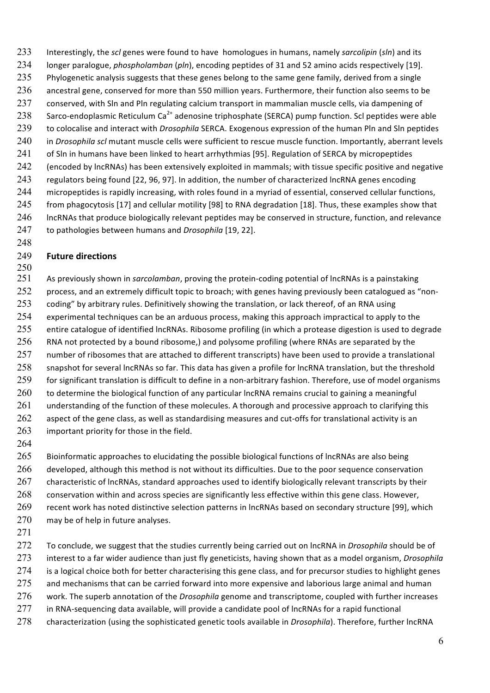- 233 Interestingly, the *scl* genes were found to have homologues in humans, namely *sarcolipin* (*sln*) and its
- 234 longer paralogue, *phospholamban* (*pln*), encoding peptides of 31 and 52 amino acids respectively [19].
- 235 Phylogenetic analysis suggests that these genes belong to the same gene family, derived from a single
- 236 ancestral gene, conserved for more than 550 million years. Furthermore, their function also seems to be
- 237 conserved, with Sln and Pln regulating calcium transport in mammalian muscle cells, via dampening of
- 238 Sarco-endoplasmic Reticulum Ca<sup>2+</sup> adenosine triphosphate (SERCA) pump function. Scl peptides were able 239 to colocalise and interact with *Drosophila* SERCA. Exogenous expression of the human Pln and Sln peptides
- 240 in *Drosophila scl* mutant muscle cells were sufficient to rescue muscle function. Importantly, aberrant levels
- 241 of Sln in humans have been linked to heart arrhythmias [95]. Regulation of SERCA by micropeptides
- 242 (encoded by lncRNAs) has been extensively exploited in mammals; with tissue specific positive and negative
- 243 regulators being found [22, 96, 97]. In addition, the number of characterized lncRNA genes encoding
- 244 micropeptides is rapidly increasing, with roles found in a myriad of essential, conserved cellular functions, 245 from phagocytosis [17] and cellular motility [98] to RNA degradation [18]. Thus, these examples show that
- 246 IncRNAs that produce biologically relevant peptides may be conserved in structure, function, and relevance 247 to pathologies between humans and *Drosophila* [19, 22].
- 248

## 249 **Future directions**

- 250 251 As previously shown in *sarcolamban*, proving the protein-coding potential of lncRNAs is a painstaking 252 process, and an extremely difficult topic to broach; with genes having previously been catalogued as "non-253 coding" by arbitrary rules. Definitively showing the translation, or lack thereof, of an RNA using 254 experimental techniques can be an arduous process, making this approach impractical to apply to the 255 entire catalogue of identified lncRNAs. Ribosome profiling (in which a protease digestion is used to degrade 256 RNA not protected by a bound ribosome,) and polysome profiling (where RNAs are separated by the 257 number of ribosomes that are attached to different transcripts) have been used to provide a translational 258 snapshot for several lncRNAs so far. This data has given a profile for lncRNA translation, but the threshold 259 for significant translation is difficult to define in a non-arbitrary fashion. Therefore, use of model organisms 260 to determine the biological function of any particular lncRNA remains crucial to gaining a meaningful 261 understanding of the function of these molecules. A thorough and processive approach to clarifying this 262 aspect of the gene class, as well as standardising measures and cut-offs for translational activity is an 263 important priority for those in the field.
- 264

265 Bioinformatic approaches to elucidating the possible biological functions of lncRNAs are also being 266 developed, although this method is not without its difficulties. Due to the poor sequence conservation 267 characteristic of lncRNAs, standard approaches used to identify biologically relevant transcripts by their 268 conservation within and across species are significantly less effective within this gene class. However, 269 recent work has noted distinctive selection patterns in lncRNAs based on secondary structure [99], which 270 may be of help in future analyses.

271

 To conclude, we suggest that the studies currently being carried out on lncRNA in *Drosophila* should be of interest to a far wider audience than just fly geneticists, having shown that as a model organism, *Drosophila* 274 is a logical choice both for better characterising this gene class, and for precursor studies to highlight genes 275 and mechanisms that can be carried forward into more expensive and laborious large animal and human work. The superb annotation of the *Drosophila* genome and transcriptome, coupled with further increases in RNA-sequencing data available, will provide a candidate pool of lncRNAs for a rapid functional

278 characterization (using the sophisticated genetic tools available in *Drosophila*). Therefore, further lncRNA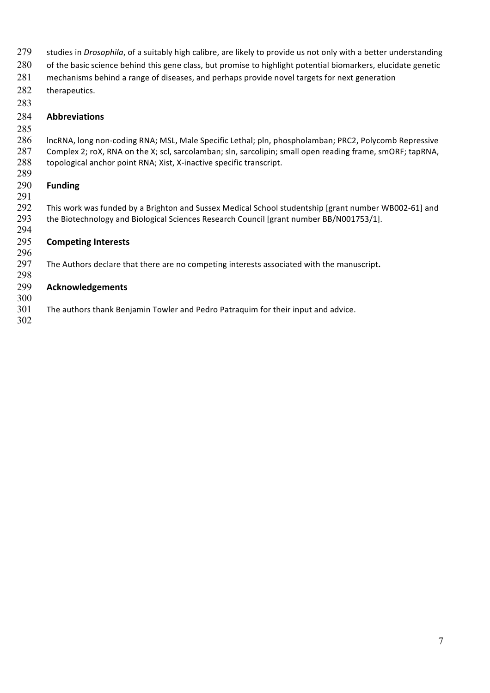- studies in *Drosophila*, of a suitably high calibre, are likely to provide us not only with a better understanding
- 280 of the basic science behind this gene class, but promise to highlight potential biomarkers, elucidate genetic
- 281 mechanisms behind a range of diseases, and perhaps provide novel targets for next generation
- 282 therapeutics.
- 

## **Abbreviations**

#### lncRNA, long non-coding RNA; MSL, Male Specific Lethal; pln, phospholamban; PRC2, Polycomb Repressive Complex 2; roX, RNA on the X; scl, sarcolamban; sln, sarcolipin; small open reading frame, smORF; tapRNA, topological anchor point RNA; Xist, X-inactive specific transcript.

#### **Funding**

 This work was funded by a Brighton and Sussex Medical School studentship [grant number WB002-61] and the Biotechnology and Biological Sciences Research Council [grant number BB/N001753/1]. 

## **Competing Interests**

 The Authors declare that there are no competing interests associated with the manuscript**.**

## **Acknowledgements**

- The authors thank Benjamin Towler and Pedro Patraquim for their input and advice.
-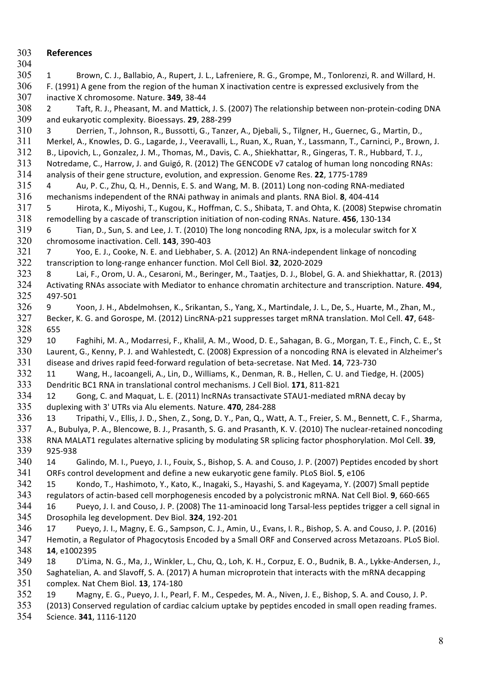**References** 1 Brown, C. J., Ballabio, A., Rupert, J. L., Lafreniere, R. G., Grompe, M., Tonlorenzi, R. and Willard, H. F. (1991) A gene from the region of the human X inactivation centre is expressed exclusively from the inactive X chromosome. Nature. **349**, 38-44 2 Taft, R. J., Pheasant, M. and Mattick, J. S. (2007) The relationship between non-protein-coding DNA and eukaryotic complexity. Bioessays. **29**, 288-299 3 Derrien, T., Johnson, R., Bussotti, G., Tanzer, A., Djebali, S., Tilgner, H., Guernec, G., Martin, D., Merkel, A., Knowles, D. G., Lagarde, J., Veeravalli, L., Ruan, X., Ruan, Y., Lassmann, T., Carninci, P., Brown, J. B., Lipovich, L., Gonzalez, J. M., Thomas, M., Davis, C. A., Shiekhattar, R., Gingeras, T. R., Hubbard, T. J., Notredame, C., Harrow, J. and Guigó, R. (2012) The GENCODE v7 catalog of human long noncoding RNAs: analysis of their gene structure, evolution, and expression. Genome Res. **22**, 1775-1789 4 Au, P. C., Zhu, Q. H., Dennis, E. S. and Wang, M. B. (2011) Long non-coding RNA-mediated mechanisms independent of the RNAi pathway in animals and plants. RNA Biol. **8**, 404-414 5 Hirota, K., Miyoshi, T., Kugou, K., Hoffman, C. S., Shibata, T. and Ohta, K. (2008) Stepwise chromatin remodelling by a cascade of transcription initiation of non-coding RNAs. Nature. **456**, 130-134 6 Tian, D., Sun, S. and Lee, J. T. (2010) The long noncoding RNA, Jpx, is a molecular switch for X chromosome inactivation. Cell. **143**, 390-403 7 Yoo, E. J., Cooke, N. E. and Liebhaber, S. A. (2012) An RNA-independent linkage of noncoding transcription to long-range enhancer function. Mol Cell Biol. **32**, 2020-2029 8 Lai, F., Orom, U. A., Cesaroni, M., Beringer, M., Taatjes, D. J., Blobel, G. A. and Shiekhattar, R. (2013) Activating RNAs associate with Mediator to enhance chromatin architecture and transcription. Nature. **494**, 497-501 9 Yoon, J. H., Abdelmohsen, K., Srikantan, S., Yang, X., Martindale, J. L., De, S., Huarte, M., Zhan, M., Becker, K. G. and Gorospe, M. (2012) LincRNA-p21 suppresses target mRNA translation. Mol Cell. **47**, 648- 655 10 Faghihi, M. A., Modarresi, F., Khalil, A. M., Wood, D. E., Sahagan, B. G., Morgan, T. E., Finch, C. E., St Laurent, G., Kenny, P. J. and Wahlestedt, C. (2008) Expression of a noncoding RNA is elevated in Alzheimer's disease and drives rapid feed-forward regulation of beta-secretase. Nat Med. **14**, 723-730 11 Wang, H., Iacoangeli, A., Lin, D., Williams, K., Denman, R. B., Hellen, C. U. and Tiedge, H. (2005) Dendritic BC1 RNA in translational control mechanisms. J Cell Biol. **171**, 811-821 12 Gong, C. and Maquat, L. E. (2011) lncRNAs transactivate STAU1-mediated mRNA decay by duplexing with 3' UTRs via Alu elements. Nature. **470**, 284-288 13 Tripathi, V., Ellis, J. D., Shen, Z., Song, D. Y., Pan, Q., Watt, A. T., Freier, S. M., Bennett, C. F., Sharma, A., Bubulya, P. A., Blencowe, B. J., Prasanth, S. G. and Prasanth, K. V. (2010) The nuclear-retained noncoding RNA MALAT1 regulates alternative splicing by modulating SR splicing factor phosphorylation. Mol Cell. **39**, 925-938 14 Galindo, M. I., Pueyo, J. I., Fouix, S., Bishop, S. A. and Couso, J. P. (2007) Peptides encoded by short ORFs control development and define a new eukaryotic gene family. PLoS Biol. **5**, e106 15 Kondo, T., Hashimoto, Y., Kato, K., Inagaki, S., Hayashi, S. and Kageyama, Y. (2007) Small peptide regulators of actin-based cell morphogenesis encoded by a polycistronic mRNA. Nat Cell Biol. **9**, 660-665 16 Pueyo, J. I. and Couso, J. P. (2008) The 11-aminoacid long Tarsal-less peptides trigger a cell signal in Drosophila leg development. Dev Biol. **324**, 192-201 17 Pueyo, J. I., Magny, E. G., Sampson, C. J., Amin, U., Evans, I. R., Bishop, S. A. and Couso, J. P. (2016) Hemotin, a Regulator of Phagocytosis Encoded by a Small ORF and Conserved across Metazoans. PLoS Biol. **14**, e1002395 18 D'Lima, N. G., Ma, J., Winkler, L., Chu, Q., Loh, K. H., Corpuz, E. O., Budnik, B. A., Lykke-Andersen, J., Saghatelian, A. and Slavoff, S. A. (2017) A human microprotein that interacts with the mRNA decapping complex. Nat Chem Biol. **13**, 174-180 19 Magny, E. G., Pueyo, J. I., Pearl, F. M., Cespedes, M. A., Niven, J. E., Bishop, S. A. and Couso, J. P. (2013) Conserved regulation of cardiac calcium uptake by peptides encoded in small open reading frames.

Science. **341**, 1116-1120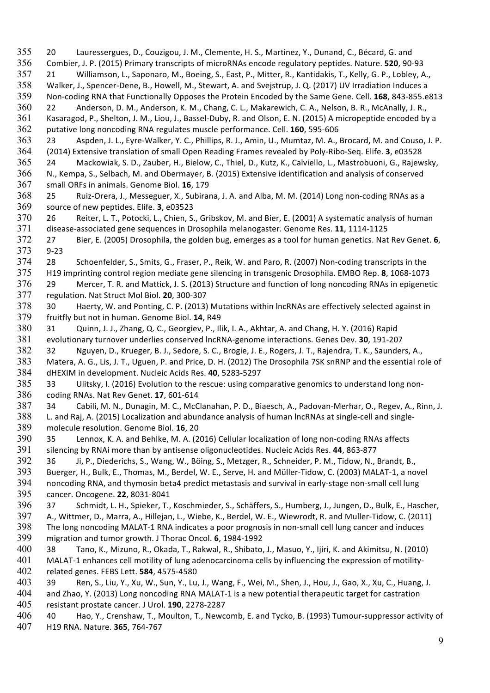20 Lauressergues, D., Couzigou, J. M., Clemente, H. S., Martinez, Y., Dunand, C., Bécard, G. and Combier, J. P. (2015) Primary transcripts of microRNAs encode regulatory peptides. Nature. **520**, 90-93 21 Williamson, L., Saponaro, M., Boeing, S., East, P., Mitter, R., Kantidakis, T., Kelly, G. P., Lobley, A., Walker, J., Spencer-Dene, B., Howell, M., Stewart, A. and Svejstrup, J. Q. (2017) UV Irradiation Induces a Non-coding RNA that Functionally Opposes the Protein Encoded by the Same Gene. Cell. **168**, 843-855.e813 22 Anderson, D. M., Anderson, K. M., Chang, C. L., Makarewich, C. A., Nelson, B. R., McAnally, J. R., Kasaragod, P., Shelton, J. M., Liou, J., Bassel-Duby, R. and Olson, E. N. (2015) A micropeptide encoded by a putative long noncoding RNA regulates muscle performance. Cell. **160**, 595-606 23 Aspden, J. L., Eyre-Walker, Y. C., Phillips, R. J., Amin, U., Mumtaz, M. A., Brocard, M. and Couso, J. P. (2014) Extensive translation of small Open Reading Frames revealed by Poly-Ribo-Seq. Elife. **3**, e03528 24 Mackowiak, S. D., Zauber, H., Bielow, C., Thiel, D., Kutz, K., Calviello, L., Mastrobuoni, G., Rajewsky, N., Kempa, S., Selbach, M. and Obermayer, B. (2015) Extensive identification and analysis of conserved small ORFs in animals. Genome Biol. **16**, 179 25 Ruiz-Orera, J., Messeguer, X., Subirana, J. A. and Alba, M. M. (2014) Long non-coding RNAs as a source of new peptides. Elife. **3**, e03523 26 Reiter, L. T., Potocki, L., Chien, S., Gribskov, M. and Bier, E. (2001) A systematic analysis of human disease-associated gene sequences in Drosophila melanogaster. Genome Res. **11**, 1114-1125 27 Bier, E. (2005) Drosophila, the golden bug, emerges as a tool for human genetics. Nat Rev Genet. **6**, 9-23 28 Schoenfelder, S., Smits, G., Fraser, P., Reik, W. and Paro, R. (2007) Non-coding transcripts in the H19 imprinting control region mediate gene silencing in transgenic Drosophila. EMBO Rep. **8**, 1068-1073 29 Mercer, T. R. and Mattick, J. S. (2013) Structure and function of long noncoding RNAs in epigenetic regulation. Nat Struct Mol Biol. **20**, 300-307 30 Haerty, W. and Ponting, C. P. (2013) Mutations within lncRNAs are effectively selected against in fruitfly but not in human. Genome Biol. **14**, R49 31 Quinn, J. J., Zhang, Q. C., Georgiev, P., Ilik, I. A., Akhtar, A. and Chang, H. Y. (2016) Rapid evolutionary turnover underlies conserved lncRNA-genome interactions. Genes Dev. **30**, 191-207 32 Nguyen, D., Krueger, B. J., Sedore, S. C., Brogie, J. E., Rogers, J. T., Rajendra, T. K., Saunders, A., Matera, A. G., Lis, J. T., Uguen, P. and Price, D. H. (2012) The Drosophila 7SK snRNP and the essential role of dHEXIM in development. Nucleic Acids Res. **40**, 5283-5297 33 Ulitsky, I. (2016) Evolution to the rescue: using comparative genomics to understand long non- coding RNAs. Nat Rev Genet. **17**, 601-614 34 Cabili, M. N., Dunagin, M. C., McClanahan, P. D., Biaesch, A., Padovan-Merhar, O., Regev, A., Rinn, J. L. and Raj, A. (2015) Localization and abundance analysis of human lncRNAs at single-cell and single- molecule resolution. Genome Biol. **16**, 20 35 Lennox, K. A. and Behlke, M. A. (2016) Cellular localization of long non-coding RNAs affects silencing by RNAi more than by antisense oligonucleotides. Nucleic Acids Res. **44**, 863-877 36 Ji, P., Diederichs, S., Wang, W., Böing, S., Metzger, R., Schneider, P. M., Tidow, N., Brandt, B., Buerger, H., Bulk, E., Thomas, M., Berdel, W. E., Serve, H. and Müller-Tidow, C. (2003) MALAT-1, a novel noncoding RNA, and thymosin beta4 predict metastasis and survival in early-stage non-small cell lung cancer. Oncogene. **22**, 8031-8041 37 Schmidt, L. H., Spieker, T., Koschmieder, S., Schäffers, S., Humberg, J., Jungen, D., Bulk, E., Hascher, A., Wittmer, D., Marra, A., Hillejan, L., Wiebe, K., Berdel, W. E., Wiewrodt, R. and Muller-Tidow, C. (2011) The long noncoding MALAT-1 RNA indicates a poor prognosis in non-small cell lung cancer and induces migration and tumor growth. J Thorac Oncol. **6**, 1984-1992 38 Tano, K., Mizuno, R., Okada, T., Rakwal, R., Shibato, J., Masuo, Y., Ijiri, K. and Akimitsu, N. (2010) MALAT-1 enhances cell motility of lung adenocarcinoma cells by influencing the expression of motility- related genes. FEBS Lett. **584**, 4575-4580 39 Ren, S., Liu, Y., Xu, W., Sun, Y., Lu, J., Wang, F., Wei, M., Shen, J., Hou, J., Gao, X., Xu, C., Huang, J. and Zhao, Y. (2013) Long noncoding RNA MALAT-1 is a new potential therapeutic target for castration resistant prostate cancer. J Urol. **190**, 2278-2287 40 Hao, Y., Crenshaw, T., Moulton, T., Newcomb, E. and Tycko, B. (1993) Tumour-suppressor activity of H19 RNA. Nature. **365**, 764-767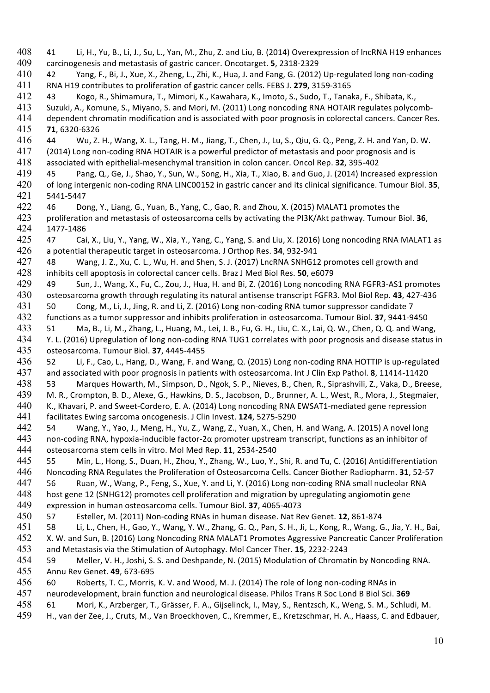41 Li, H., Yu, B., Li, J., Su, L., Yan, M., Zhu, Z. and Liu, B. (2014) Overexpression of lncRNA H19 enhances carcinogenesis and metastasis of gastric cancer. Oncotarget. **5**, 2318-2329 42 Yang, F., Bi, J., Xue, X., Zheng, L., Zhi, K., Hua, J. and Fang, G. (2012) Up-regulated long non-coding RNA H19 contributes to proliferation of gastric cancer cells. FEBS J. **279**, 3159-3165 43 Kogo, R., Shimamura, T., Mimori, K., Kawahara, K., Imoto, S., Sudo, T., Tanaka, F., Shibata, K., Suzuki, A., Komune, S., Miyano, S. and Mori, M. (2011) Long noncoding RNA HOTAIR regulates polycomb-414 dependent chromatin modification and is associated with poor prognosis in colorectal cancers. Cancer Res.<br>415 **71**, 6320-6326 **71**, 6320-6326 44 Wu, Z. H., Wang, X. L., Tang, H. M., Jiang, T., Chen, J., Lu, S., Qiu, G. Q., Peng, Z. H. and Yan, D. W. (2014) Long non-coding RNA HOTAIR is a powerful predictor of metastasis and poor prognosis and is associated with epithelial-mesenchymal transition in colon cancer. Oncol Rep. **32**, 395-402 45 Pang, Q., Ge, J., Shao, Y., Sun, W., Song, H., Xia, T., Xiao, B. and Guo, J. (2014) Increased expression of long intergenic non-coding RNA LINC00152 in gastric cancer and its clinical significance. Tumour Biol. **35**, 5441-5447 46 Dong, Y., Liang, G., Yuan, B., Yang, C., Gao, R. and Zhou, X. (2015) MALAT1 promotes the proliferation and metastasis of osteosarcoma cells by activating the PI3K/Akt pathway. Tumour Biol. **36**, 1477-1486 47 Cai, X., Liu, Y., Yang, W., Xia, Y., Yang, C., Yang, S. and Liu, X. (2016) Long noncoding RNA MALAT1 as a potential therapeutic target in osteosarcoma. J Orthop Res. **34**, 932-941 48 Wang, J. Z., Xu, C. L., Wu, H. and Shen, S. J. (2017) LncRNA SNHG12 promotes cell growth and inhibits cell apoptosis in colorectal cancer cells. Braz J Med Biol Res. **50**, e6079 49 Sun, J., Wang, X., Fu, C., Zou, J., Hua, H. and Bi, Z. (2016) Long noncoding RNA FGFR3-AS1 promotes osteosarcoma growth through regulating its natural antisense transcript FGFR3. Mol Biol Rep. **43**, 427-436 50 Cong, M., Li, J., Jing, R. and Li, Z. (2016) Long non-coding RNA tumor suppressor candidate 7 functions as a tumor suppressor and inhibits proliferation in osteosarcoma. Tumour Biol. **37**, 9441-9450 51 Ma, B., Li, M., Zhang, L., Huang, M., Lei, J. B., Fu, G. H., Liu, C. X., Lai, Q. W., Chen, Q. Q. and Wang, Y. L. (2016) Upregulation of long non-coding RNA TUG1 correlates with poor prognosis and disease status in osteosarcoma. Tumour Biol. **37**, 4445-4455 52 Li, F., Cao, L., Hang, D., Wang, F. and Wang, Q. (2015) Long non-coding RNA HOTTIP is up-regulated and associated with poor prognosis in patients with osteosarcoma. Int J Clin Exp Pathol. **8**, 11414-11420 53 Marques Howarth, M., Simpson, D., Ngok, S. P., Nieves, B., Chen, R., Siprashvili, Z., Vaka, D., Breese, M. R., Crompton, B. D., Alexe, G., Hawkins, D. S., Jacobson, D., Brunner, A. L., West, R., Mora, J., Stegmaier, 440 K., Khavari, P. and Sweet-Cordero, E. A. (2014) Long noncoding RNA EWSAT1-mediated gene repression facilitates Ewing sarcoma oncogenesis. J Clin Invest. **124**, 5275-5290 54 Wang, Y., Yao, J., Meng, H., Yu, Z., Wang, Z., Yuan, X., Chen, H. and Wang, A. (2015) A novel long non-coding RNA, hypoxia-inducible factor-2α promoter upstream transcript, functions as an inhibitor of osteosarcoma stem cells in vitro. Mol Med Rep. **11**, 2534-2540 55 Min, L., Hong, S., Duan, H., Zhou, Y., Zhang, W., Luo, Y., Shi, R. and Tu, C. (2016) Antidifferentiation Noncoding RNA Regulates the Proliferation of Osteosarcoma Cells. Cancer Biother Radiopharm. **31**, 52-57 56 Ruan, W., Wang, P., Feng, S., Xue, Y. and Li, Y. (2016) Long non-coding RNA small nucleolar RNA host gene 12 (SNHG12) promotes cell proliferation and migration by upregulating angiomotin gene expression in human osteosarcoma cells. Tumour Biol. **37**, 4065-4073 57 Esteller, M. (2011) Non-coding RNAs in human disease. Nat Rev Genet. **12**, 861-874 58 Li, L., Chen, H., Gao, Y., Wang, Y. W., Zhang, G. Q., Pan, S. H., Ji, L., Kong, R., Wang, G., Jia, Y. H., Bai, X. W. and Sun, B. (2016) Long Noncoding RNA MALAT1 Promotes Aggressive Pancreatic Cancer Proliferation and Metastasis via the Stimulation of Autophagy. Mol Cancer Ther. **15**, 2232-2243 59 Meller, V. H., Joshi, S. S. and Deshpande, N. (2015) Modulation of Chromatin by Noncoding RNA. Annu Rev Genet. **49**, 673-695 60 Roberts, T. C., Morris, K. V. and Wood, M. J. (2014) The role of long non-coding RNAs in neurodevelopment, brain function and neurological disease. Philos Trans R Soc Lond B Biol Sci. **369** 61 Mori, K., Arzberger, T., Grässer, F. A., Gijselinck, I., May, S., Rentzsch, K., Weng, S. M., Schludi, M. H., van der Zee, J., Cruts, M., Van Broeckhoven, C., Kremmer, E., Kretzschmar, H. A., Haass, C. and Edbauer,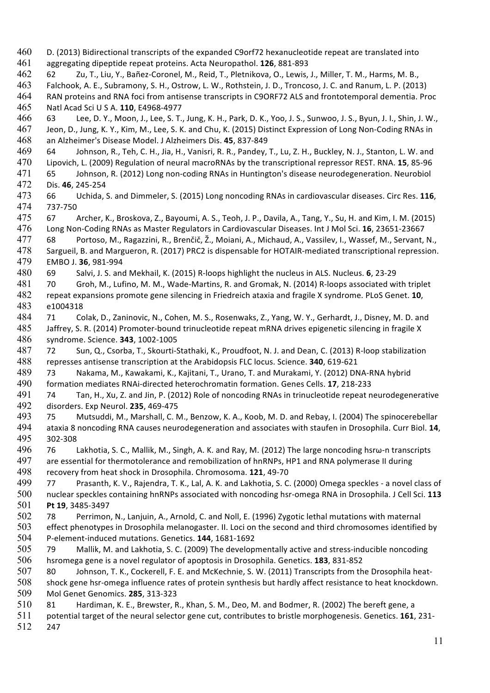D. (2013) Bidirectional transcripts of the expanded C9orf72 hexanucleotide repeat are translated into aggregating dipeptide repeat proteins. Acta Neuropathol. **126**, 881-893 62 Zu, T., Liu, Y., Bañez-Coronel, M., Reid, T., Pletnikova, O., Lewis, J., Miller, T. M., Harms, M. B., Falchook, A. E., Subramony, S. H., Ostrow, L. W., Rothstein, J. D., Troncoso, J. C. and Ranum, L. P. (2013) RAN proteins and RNA foci from antisense transcripts in C9ORF72 ALS and frontotemporal dementia. Proc Natl Acad Sci U S A. **110**, E4968-4977 63 Lee, D. Y., Moon, J., Lee, S. T., Jung, K. H., Park, D. K., Yoo, J. S., Sunwoo, J. S., Byun, J. I., Shin, J. W., Jeon, D., Jung, K. Y., Kim, M., Lee, S. K. and Chu, K. (2015) Distinct Expression of Long Non-Coding RNAs in an Alzheimer's Disease Model. J Alzheimers Dis. **45**, 837-849 64 Johnson, R., Teh, C. H., Jia, H., Vanisri, R. R., Pandey, T., Lu, Z. H., Buckley, N. J., Stanton, L. W. and Lipovich, L. (2009) Regulation of neural macroRNAs by the transcriptional repressor REST. RNA. **15**, 85-96 65 Johnson, R. (2012) Long non-coding RNAs in Huntington's disease neurodegeneration. Neurobiol Dis. **46**, 245-254 66 Uchida, S. and Dimmeler, S. (2015) Long noncoding RNAs in cardiovascular diseases. Circ Res. **116**, 737-750 67 Archer, K., Broskova, Z., Bayoumi, A. S., Teoh, J. P., Davila, A., Tang, Y., Su, H. and Kim, I. M. (2015) Long Non-Coding RNAs as Master Regulators in Cardiovascular Diseases. Int J Mol Sci. **16**, 23651-23667 68 Portoso, M., Ragazzini, R., Brenčič, Ž., Moiani, A., Michaud, A., Vassilev, I., Wassef, M., Servant, N., Sargueil, B. and Margueron, R. (2017) PRC2 is dispensable for HOTAIR-mediated transcriptional repression. EMBO J. **36**, 981-994 69 Salvi, J. S. and Mekhail, K. (2015) R-loops highlight the nucleus in ALS. Nucleus. **6**, 23-29 70 Groh, M., Lufino, M. M., Wade-Martins, R. and Gromak, N. (2014) R-loops associated with triplet repeat expansions promote gene silencing in Friedreich ataxia and fragile X syndrome. PLoS Genet. **10**, e1004318 71 Colak, D., Zaninovic, N., Cohen, M. S., Rosenwaks, Z., Yang, W. Y., Gerhardt, J., Disney, M. D. and Jaffrey, S. R. (2014) Promoter-bound trinucleotide repeat mRNA drives epigenetic silencing in fragile X syndrome. Science. **343**, 1002-1005 72 Sun, Q., Csorba, T., Skourti-Stathaki, K., Proudfoot, N. J. and Dean, C. (2013) R-loop stabilization represses antisense transcription at the Arabidopsis FLC locus. Science. **340**, 619-621 73 Nakama, M., Kawakami, K., Kajitani, T., Urano, T. and Murakami, Y. (2012) DNA-RNA hybrid formation mediates RNAi-directed heterochromatin formation. Genes Cells. **17**, 218-233 74 Tan, H., Xu, Z. and Jin, P. (2012) Role of noncoding RNAs in trinucleotide repeat neurodegenerative disorders. Exp Neurol. **235**, 469-475 75 Mutsuddi, M., Marshall, C. M., Benzow, K. A., Koob, M. D. and Rebay, I. (2004) The spinocerebellar ataxia 8 noncoding RNA causes neurodegeneration and associates with staufen in Drosophila. Curr Biol. **14**, 302-308 76 Lakhotia, S. C., Mallik, M., Singh, A. K. and Ray, M. (2012) The large noncoding hsrω-n transcripts 497 are essential for thermotolerance and remobilization of hnRNPs, HP1 and RNA polymerase II during recovery from heat shock in Drosophila. Chromosoma. **121**, 49-70 77 Prasanth, K. V., Rajendra, T. K., Lal, A. K. and Lakhotia, S. C. (2000) Omega speckles - a novel class of nuclear speckles containing hnRNPs associated with noncoding hsr-omega RNA in Drosophila. J Cell Sci. **113 Pt 19**, 3485-3497 78 Perrimon, N., Lanjuin, A., Arnold, C. and Noll, E. (1996) Zygotic lethal mutations with maternal effect phenotypes in Drosophila melanogaster. II. Loci on the second and third chromosomes identified by P-element-induced mutations. Genetics. **144**, 1681-1692 79 Mallik, M. and Lakhotia, S. C. (2009) The developmentally active and stress-inducible noncoding hsromega gene is a novel regulator of apoptosis in Drosophila. Genetics. **183**, 831-852 80 Johnson, T. K., Cockerell, F. E. and McKechnie, S. W. (2011) Transcripts from the Drosophila heat- shock gene hsr-omega influence rates of protein synthesis but hardly affect resistance to heat knockdown. Mol Genet Genomics. **285**, 313-323 81 Hardiman, K. E., Brewster, R., Khan, S. M., Deo, M. and Bodmer, R. (2002) The bereft gene, a potential target of the neural selector gene cut, contributes to bristle morphogenesis. Genetics. **161**, 231- 247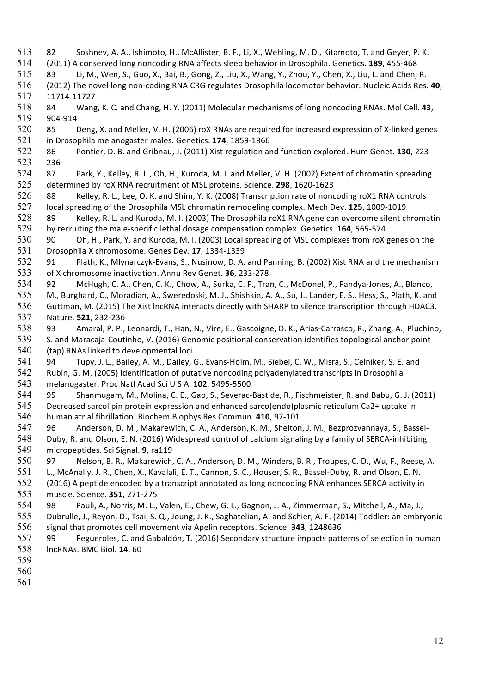- 82 Soshnev, A. A., Ishimoto, H., McAllister, B. F., Li, X., Wehling, M. D., Kitamoto, T. and Geyer, P. K. (2011) A conserved long noncoding RNA affects sleep behavior in Drosophila. Genetics. **189**, 455-468 83 Li, M., Wen, S., Guo, X., Bai, B., Gong, Z., Liu, X., Wang, Y., Zhou, Y., Chen, X., Liu, L. and Chen, R. (2012) The novel long non-coding RNA CRG regulates Drosophila locomotor behavior. Nucleic Acids Res. **40**, 11714-11727 84 Wang, K. C. and Chang, H. Y. (2011) Molecular mechanisms of long noncoding RNAs. Mol Cell. **43**, 904-914 85 Deng, X. and Meller, V. H. (2006) roX RNAs are required for increased expression of X-linked genes in Drosophila melanogaster males. Genetics. **174**, 1859-1866 86 Pontier, D. B. and Gribnau, J. (2011) Xist regulation and function explored. Hum Genet. **130**, 223- 236 87 Park, Y., Kelley, R. L., Oh, H., Kuroda, M. I. and Meller, V. H. (2002) Extent of chromatin spreading determined by roX RNA recruitment of MSL proteins. Science. **298**, 1620-1623 88 Kelley, R. L., Lee, O. K. and Shim, Y. K. (2008) Transcription rate of noncoding roX1 RNA controls local spreading of the Drosophila MSL chromatin remodeling complex. Mech Dev. **125**, 1009-1019 89 Kelley, R. L. and Kuroda, M. I. (2003) The Drosophila roX1 RNA gene can overcome silent chromatin by recruiting the male-specific lethal dosage compensation complex. Genetics. **164**, 565-574 90 Oh, H., Park, Y. and Kuroda, M. I. (2003) Local spreading of MSL complexes from roX genes on the Drosophila X chromosome. Genes Dev. **17**, 1334-1339 91 Plath, K., Mlynarczyk-Evans, S., Nusinow, D. A. and Panning, B. (2002) Xist RNA and the mechanism of X chromosome inactivation. Annu Rev Genet. **36**, 233-278 92 McHugh, C. A., Chen, C. K., Chow, A., Surka, C. F., Tran, C., McDonel, P., Pandya-Jones, A., Blanco, M., Burghard, C., Moradian, A., Sweredoski, M. J., Shishkin, A. A., Su, J., Lander, E. S., Hess, S., Plath, K. and Guttman, M. (2015) The Xist lncRNA interacts directly with SHARP to silence transcription through HDAC3. Nature. **521**, 232-236 93 Amaral, P. P., Leonardi, T., Han, N., Vire, E., Gascoigne, D. K., Arias-Carrasco, R., Zhang, A., Pluchino, S. and Maracaja-Coutinho, V. (2016) Genomic positional conservation identifies topological anchor point (tap) RNAs linked to developmental loci. 94 Tupy, J. L., Bailey, A. M., Dailey, G., Evans-Holm, M., Siebel, C. W., Misra, S., Celniker, S. E. and Rubin, G. M. (2005) Identification of putative noncoding polyadenylated transcripts in Drosophila melanogaster. Proc Natl Acad Sci U S A. **102**, 5495-5500 95 Shanmugam, M., Molina, C. E., Gao, S., Severac-Bastide, R., Fischmeister, R. and Babu, G. J. (2011) Decreased sarcolipin protein expression and enhanced sarco(endo)plasmic reticulum Ca2+ uptake in human atrial fibrillation. Biochem Biophys Res Commun. **410**, 97-101 96 Anderson, D. M., Makarewich, C. A., Anderson, K. M., Shelton, J. M., Bezprozvannaya, S., Bassel- Duby, R. and Olson, E. N. (2016) Widespread control of calcium signaling by a family of SERCA-inhibiting micropeptides. Sci Signal. **9**, ra119 97 Nelson, B. R., Makarewich, C. A., Anderson, D. M., Winders, B. R., Troupes, C. D., Wu, F., Reese, A. L., McAnally, J. R., Chen, X., Kavalali, E. T., Cannon, S. C., Houser, S. R., Bassel-Duby, R. and Olson, E. N. (2016) A peptide encoded by a transcript annotated as long noncoding RNA enhances SERCA activity in muscle. Science. **351**, 271-275 98 Pauli, A., Norris, M. L., Valen, E., Chew, G. L., Gagnon, J. A., Zimmerman, S., Mitchell, A., Ma, J., Dubrulle, J., Reyon, D., Tsai, S. Q., Joung, J. K., Saghatelian, A. and Schier, A. F. (2014) Toddler: an embryonic signal that promotes cell movement via Apelin receptors. Science. **343**, 1248636 99 Pegueroles, C. and Gabaldón, T. (2016) Secondary structure impacts patterns of selection in human lncRNAs. BMC Biol. **14**, 60
-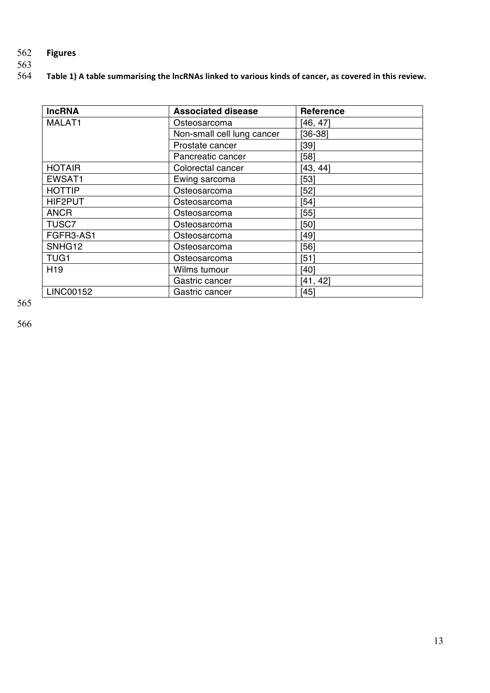# 562 **Figures**

563

Table 1) A table summarising the lncRNAs linked to various kinds of cancer, as covered in this review.

| <b>IncRNA</b>      | <b>Associated disease</b>  | <b>Reference</b> |
|--------------------|----------------------------|------------------|
| MALAT1             | Osteosarcoma               | [46, 47]         |
|                    | Non-small cell lung cancer | $[36-38]$        |
|                    | Prostate cancer            | [39]             |
|                    | Pancreatic cancer          | [58]             |
| <b>HOTAIR</b>      | Colorectal cancer          | [43, 44]         |
| EWSAT1             | Ewing sarcoma              | $[53]$           |
| <b>HOTTIP</b>      | Osteosarcoma               | $[52]$           |
| HIF2PUT            | Osteosarcoma               | $[54]$           |
| <b>ANCR</b>        | Osteosarcoma               | [55]             |
| <b>TUSC7</b>       | Osteosarcoma               | [50]             |
| FGFR3-AS1          | Osteosarcoma               | [49]             |
| SNHG <sub>12</sub> | Osteosarcoma               | [56]             |
| TUG <sub>1</sub>   | Osteosarcoma               | [51]             |
| H <sub>19</sub>    | Wilms tumour               | [40]             |
|                    | Gastric cancer             | [41, 42]         |
| <b>LINC00152</b>   | Gastric cancer             | $[45]$           |

565